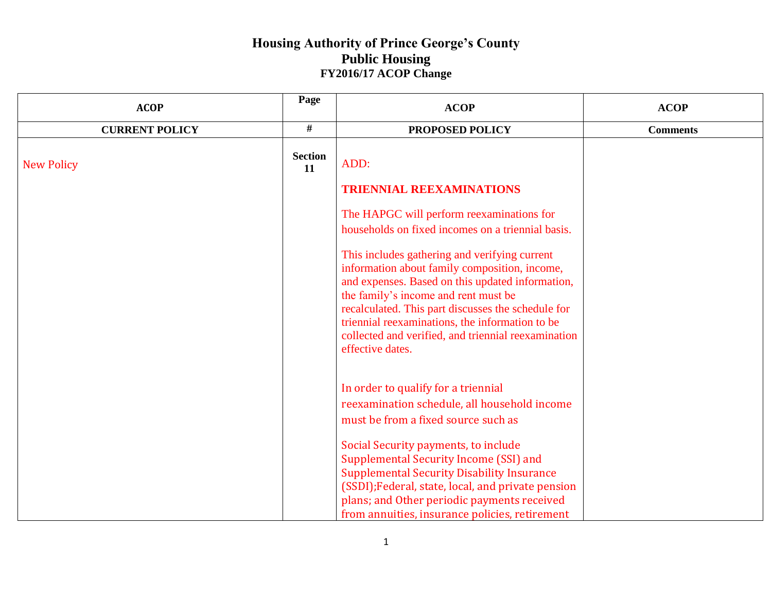| <b>ACOP</b>           | Page                 | <b>ACOP</b>                                                                                                                                                                                                                                                                                                                                                                    | <b>ACOP</b>     |
|-----------------------|----------------------|--------------------------------------------------------------------------------------------------------------------------------------------------------------------------------------------------------------------------------------------------------------------------------------------------------------------------------------------------------------------------------|-----------------|
| <b>CURRENT POLICY</b> | #                    | PROPOSED POLICY                                                                                                                                                                                                                                                                                                                                                                | <b>Comments</b> |
| <b>New Policy</b>     | <b>Section</b><br>11 | ADD:                                                                                                                                                                                                                                                                                                                                                                           |                 |
|                       |                      | <b>TRIENNIAL REEXAMINATIONS</b>                                                                                                                                                                                                                                                                                                                                                |                 |
|                       |                      | The HAPGC will perform reexaminations for<br>households on fixed incomes on a triennial basis.                                                                                                                                                                                                                                                                                 |                 |
|                       |                      | This includes gathering and verifying current<br>information about family composition, income,<br>and expenses. Based on this updated information,<br>the family's income and rent must be<br>recalculated. This part discusses the schedule for<br>triennial reexaminations, the information to be<br>collected and verified, and triennial reexamination<br>effective dates. |                 |
|                       |                      | In order to qualify for a triennial<br>reexamination schedule, all household income<br>must be from a fixed source such as                                                                                                                                                                                                                                                     |                 |
|                       |                      | Social Security payments, to include<br>Supplemental Security Income (SSI) and<br><b>Supplemental Security Disability Insurance</b><br>(SSDI); Federal, state, local, and private pension<br>plans; and Other periodic payments received<br>from annuities, insurance policies, retirement                                                                                     |                 |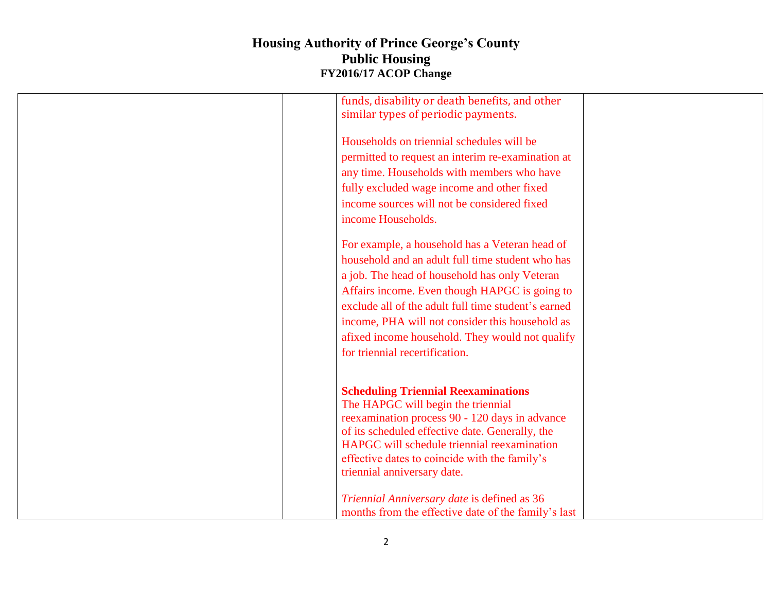| funds, disability or death benefits, and other                                   |
|----------------------------------------------------------------------------------|
| similar types of periodic payments.                                              |
|                                                                                  |
| Households on triennial schedules will be                                        |
| permitted to request an interim re-examination at                                |
| any time. Households with members who have                                       |
| fully excluded wage income and other fixed                                       |
| income sources will not be considered fixed                                      |
| income Households.                                                               |
|                                                                                  |
| For example, a household has a Veteran head of                                   |
| household and an adult full time student who has                                 |
| a job. The head of household has only Veteran                                    |
| Affairs income. Even though HAPGC is going to                                    |
| exclude all of the adult full time student's earned                              |
|                                                                                  |
| income, PHA will not consider this household as                                  |
| afixed income household. They would not qualify                                  |
| for triennial recertification.                                                   |
|                                                                                  |
|                                                                                  |
| <b>Scheduling Triennial Reexaminations</b><br>The HAPGC will begin the triennial |
| reexamination process 90 - 120 days in advance                                   |
| of its scheduled effective date. Generally, the                                  |
| HAPGC will schedule triennial reexamination                                      |
| effective dates to coincide with the family's                                    |
| triennial anniversary date.                                                      |
|                                                                                  |
| Triennial Anniversary date is defined as 36                                      |
| months from the effective date of the family's last                              |
|                                                                                  |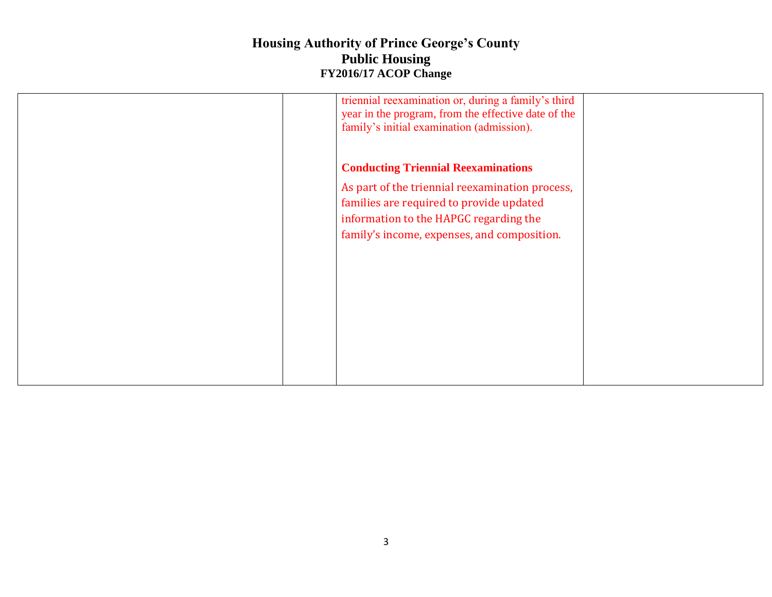| triennial reexamination or, during a family's third |  |
|-----------------------------------------------------|--|
|                                                     |  |
| year in the program, from the effective date of the |  |
| family's initial examination (admission).           |  |
|                                                     |  |
|                                                     |  |
|                                                     |  |
|                                                     |  |
| <b>Conducting Triennial Reexaminations</b>          |  |
|                                                     |  |
| As part of the triennial reexamination process,     |  |
|                                                     |  |
| families are required to provide updated            |  |
|                                                     |  |
| information to the HAPGC regarding the              |  |
|                                                     |  |
| family's income, expenses, and composition.         |  |
|                                                     |  |
|                                                     |  |
|                                                     |  |
|                                                     |  |
|                                                     |  |
|                                                     |  |
|                                                     |  |
|                                                     |  |
|                                                     |  |
|                                                     |  |
|                                                     |  |
|                                                     |  |
|                                                     |  |
|                                                     |  |
|                                                     |  |
|                                                     |  |
|                                                     |  |